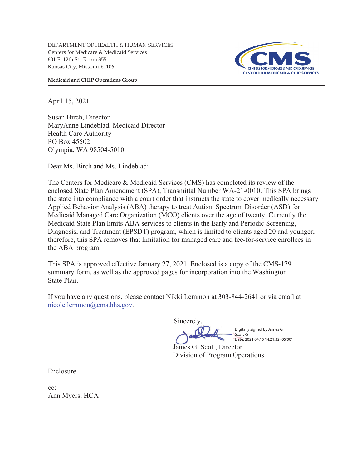DEPARTMENT OF HEALTH & HUMAN SERVICES Centers for Medicare & Medicaid Services 601 E. 12th St., Room 355 Kansas City, Missouri 64106



**Medicaid and CHIP Operations Group** 

April 15, 2021

Susan Birch, Director MaryAnne Lindeblad, Medicaid Director Health Care Authority PO Box 45502 Olympia, WA 98504-5010

Dear Ms. Birch and Ms. Lindeblad:

The Centers for Medicare & Medicaid Services (CMS) has completed its review of the enclosed State Plan Amendment (SPA), Transmittal Number WA-21-0010. This SPA brings the state into compliance with a court order that instructs the state to cover medically necessary Applied Behavior Analysis (ABA) therapy to treat Autism Spectrum Disorder (ASD) for Medicaid Managed Care Organization (MCO) clients over the age of twenty. Currently the Medicaid State Plan limits ABA services to clients in the Early and Periodic Screening, Diagnosis, and Treatment (EPSDT) program, which is limited to clients aged 20 and younger; therefore, this SPA removes that limitation for managed care and fee-for-service enrollees in the ABA program.

This SPA is approved effective January 27, 2021. Enclosed is a copy of the CMS-179 summary form, as well as the approved pages for incorporation into the Washington State Plan.

If you have any questions, please contact Nikki Lemmon at 303-844-2641 or via email at nicole.lemmon@cms.hhs.gov.

**Sincerely** 

Digitally signed by James G. Scott -S Date: 2021.04.15 14:21:32 -05'00'

James G. Scott, Director Division of Program Operations

Enclosure

cc: Ann Myers, HCA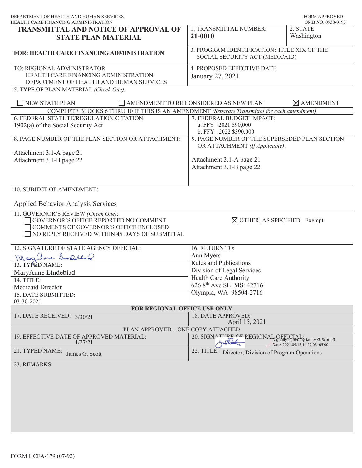| DEPARTMENT OF HEALTH AND HUMAN SERVICES<br>HEALTH CARE FINANCING ADMINISTRATION                                                                                        |                                                                                 | <b>FORM APPROVED</b><br>OMB NO. 0938-0193 |
|------------------------------------------------------------------------------------------------------------------------------------------------------------------------|---------------------------------------------------------------------------------|-------------------------------------------|
| <b>TRANSMITTAL AND NOTICE OF APPROVAL OF</b>                                                                                                                           | 1. TRANSMITTAL NUMBER:                                                          | 2. STATE                                  |
| <b>STATE PLAN MATERIAL</b>                                                                                                                                             | 21-0010                                                                         | Washington                                |
| FOR: HEALTH CARE FINANCING ADMINISTRATION                                                                                                                              | 3. PROGRAM IDENTIFICATION: TITLE XIX OF THE<br>SOCIAL SECURITY ACT (MEDICAID)   |                                           |
| TO: REGIONAL ADMINISTRATOR<br>HEALTH CARE FINANCING ADMINISTRATION<br>DEPARTMENT OF HEALTH AND HUMAN SERVICES<br>5. TYPE OF PLAN MATERIAL (Check One):                 | 4. PROPOSED EFFECTIVE DATE<br>January 27, 2021                                  |                                           |
| <b>NEW STATE PLAN</b><br>AMENDMENT TO BE CONSIDERED AS NEW PLAN<br>$\boxtimes$ AMENDMENT                                                                               |                                                                                 |                                           |
| COMPLETE BLOCKS 6 THRU 10 IF THIS IS AN AMENDMENT (Separate Transmittal for each amendment)                                                                            |                                                                                 |                                           |
| 6. FEDERAL STATUTE/REGULATION CITATION:                                                                                                                                | 7. FEDERAL BUDGET IMPACT:                                                       |                                           |
| 1902(a) of the Social Security Act                                                                                                                                     | a. FFY 2021 \$90,000                                                            |                                           |
|                                                                                                                                                                        | b. FFY 2022 \$390,000                                                           |                                           |
| 8. PAGE NUMBER OF THE PLAN SECTION OR ATTACHMENT:                                                                                                                      | 9. PAGE NUMBER OF THE SUPERSEDED PLAN SECTION<br>OR ATTACHMENT (If Applicable): |                                           |
| Attachment 3.1-A page 21                                                                                                                                               |                                                                                 |                                           |
| Attachment 3.1-B page 22                                                                                                                                               | Attachment 3.1-A page 21                                                        |                                           |
|                                                                                                                                                                        | Attachment 3.1-B page 22                                                        |                                           |
|                                                                                                                                                                        |                                                                                 |                                           |
|                                                                                                                                                                        |                                                                                 |                                           |
| 10. SUBJECT OF AMENDMENT:                                                                                                                                              |                                                                                 |                                           |
| <b>Applied Behavior Analysis Services</b>                                                                                                                              |                                                                                 |                                           |
| 11. GOVERNOR'S REVIEW (Check One):<br>GOVERNOR'S OFFICE REPORTED NO COMMENT<br>COMMENTS OF GOVERNOR'S OFFICE ENCLOSED<br>NO REPLY RECEIVED WITHIN 45 DAYS OF SUBMITTAL | $\boxtimes$ OTHER, AS SPECIFIED: Exempt                                         |                                           |
| 12. SIGNATURE OF STATE AGENCY OFFICIAL:                                                                                                                                | 16. RETURN TO:                                                                  |                                           |
| Mary Chine Sweethal                                                                                                                                                    | Ann Myers                                                                       |                                           |
| 13. TYPED NAME:                                                                                                                                                        | <b>Rules and Publications</b>                                                   |                                           |
|                                                                                                                                                                        | Division of Legal Services                                                      |                                           |
| MaryAnne Lindeblad                                                                                                                                                     | Health Care Authority                                                           |                                           |
| 14. TITLE:                                                                                                                                                             | 626 8 <sup>th</sup> Ave SE MS: 42716                                            |                                           |
| Medicaid Director                                                                                                                                                      | Olympia, WA 98504-2716                                                          |                                           |
| 15. DATE SUBMITTED:<br>03-30-2021                                                                                                                                      |                                                                                 |                                           |
| FOR REGIONAL OFFICE USE ONLY                                                                                                                                           |                                                                                 |                                           |
| 17. DATE RECEIVED: $3/30/21$                                                                                                                                           | 18. DATE APPROVED:                                                              |                                           |
|                                                                                                                                                                        | April 15, 2021                                                                  |                                           |
| PLAN APPROVED - ONE COPY ATTACHED                                                                                                                                      |                                                                                 |                                           |
| 19. EFFECTIVE DATE OF APPROVED MATERIAL:<br>1/27/21                                                                                                                    | 20. SIGNATURE OF REGIONAL OFFICIAL:<br>The Migitally signed by James G. Scott-S | Date: 2021.04.15 14:22:03 -05'00'         |
| 21. TYPED NAME:<br>James G. Scott                                                                                                                                      | 22. TITLE:<br>Director, Division of Program Operations                          |                                           |
| 23. REMARKS:                                                                                                                                                           |                                                                                 |                                           |
|                                                                                                                                                                        |                                                                                 |                                           |
|                                                                                                                                                                        |                                                                                 |                                           |
|                                                                                                                                                                        |                                                                                 |                                           |
|                                                                                                                                                                        |                                                                                 |                                           |
|                                                                                                                                                                        |                                                                                 |                                           |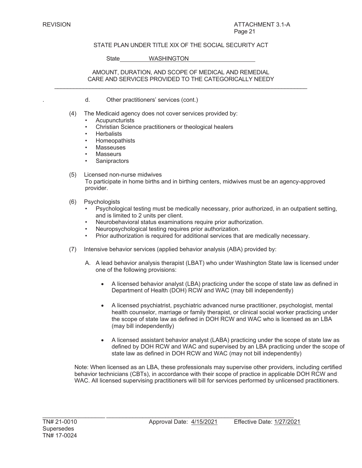# STATE PLAN UNDER TITLE XIX OF THE SOCIAL SECURITY ACT

State WASHINGTON

## AMOUNT, DURATION, AND SCOPE OF MEDICAL AND REMEDIAL CARE AND SERVICES PROVIDED TO THE CATEGORICALLY NEEDY  $\mathcal{L}_\mathcal{L} = \{ \mathcal{L}_\mathcal{L} = \{ \mathcal{L}_\mathcal{L} = \{ \mathcal{L}_\mathcal{L} = \{ \mathcal{L}_\mathcal{L} = \{ \mathcal{L}_\mathcal{L} = \{ \mathcal{L}_\mathcal{L} = \{ \mathcal{L}_\mathcal{L} = \{ \mathcal{L}_\mathcal{L} = \{ \mathcal{L}_\mathcal{L} = \{ \mathcal{L}_\mathcal{L} = \{ \mathcal{L}_\mathcal{L} = \{ \mathcal{L}_\mathcal{L} = \{ \mathcal{L}_\mathcal{L} = \{ \mathcal{L}_\mathcal{$

- . d. Other practitioners' services (cont.)
- (4) The Medicaid agency does not cover services provided by:
	- **Acupuncturists**
	- Christian Science practitioners or theological healers
	- **Herbalists**
	- Homeopathists
	- **Masseuses**
	- **Masseurs**
	- **Sanipractors**

# (5) Licensed non-nurse midwives To participate in home births and in birthing centers, midwives must be an agency-approved provider.

- (6) Psychologists
	- Psychological testing must be medically necessary, prior authorized, in an outpatient setting, and is limited to 2 units per client.
	- Neurobehavioral status examinations require prior authorization.
	- Neuropsychological testing requires prior authorization.
	- Prior authorization is required for additional services that are medically necessary.
- (7) Intensive behavior services (applied behavior analysis (ABA) provided by:

\_\_\_\_\_\_\_\_\_\_\_\_\_\_\_\_\_\_\_ \_\_\_\_\_\_\_\_\_\_\_\_\_\_\_\_\_\_\_\_\_\_\_\_\_\_\_\_\_\_\_\_\_\_\_\_\_\_\_\_\_\_\_\_\_\_\_\_\_\_\_\_\_\_\_\_\_

- A. A lead behavior analysis therapist (LBAT) who under Washington State law is licensed under one of the following provisions:
	- x A licensed behavior analyst (LBA) practicing under the scope of state law as defined in Department of Health (DOH) RCW and WAC (may bill independently)
	- x A licensed psychiatrist, psychiatric advanced nurse practitioner, psychologist, mental health counselor, marriage or family therapist, or clinical social worker practicing under the scope of state law as defined in DOH RCW and WAC who is licensed as an LBA (may bill independently)
	- x A licensed assistant behavior analyst (LABA) practicing under the scope of state law as defined by DOH RCW and WAC and supervised by an LBA practicing under the scope of state law as defined in DOH RCW and WAC (may not bill independently)

Note: When licensed as an LBA, these professionals may supervise other providers, including certified behavior technicians (CBTs), in accordance with their scope of practice in applicable DOH RCW and WAC. All licensed supervising practitioners will bill for services performed by unlicensed practitioners.